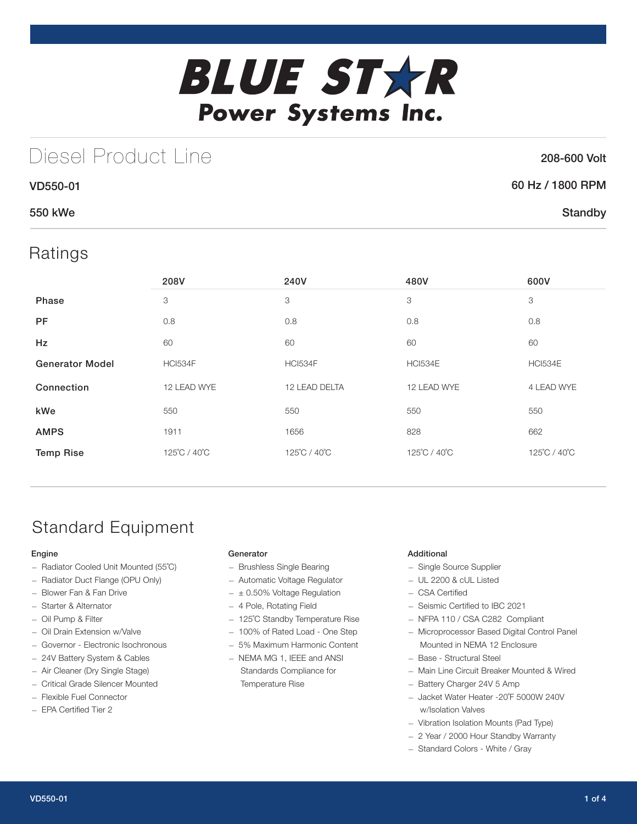

# Diesel Product Line

## 208-600 Volt

**Standby** 

| 60 Hz / 1800 RPM |  |
|------------------|--|
|                  |  |

## 550 kWe

VD550-01

## Ratings

|                        | 208V           | 240V           | 480V         | 600V           |
|------------------------|----------------|----------------|--------------|----------------|
| Phase                  | 3              | 3              | 3            | 3              |
| <b>PF</b>              | 0.8            | 0.8            | 0.8          | 0.8            |
| <b>Hz</b>              | 60             | 60             | 60           | 60             |
| <b>Generator Model</b> | <b>HCI534F</b> | <b>HCI534F</b> | HCI534E      | <b>HCI534E</b> |
| Connection             | 12 LEAD WYE    | 12 LEAD DELTA  | 12 LEAD WYE  | 4 LEAD WYE     |
| kWe                    | 550            | 550            | 550          | 550            |
| <b>AMPS</b>            | 1911           | 1656           | 828          | 662            |
| <b>Temp Rise</b>       | 125°C / 40°C   | 125°C / 40°C   | 125°C / 40°C | 125°C / 40°C   |

# Standard Equipment

### Engine

- Radiator Cooled Unit Mounted (55˚C)
- Radiator Duct Flange (OPU Only)
- Blower Fan & Fan Drive
- Starter & Alternator
- Oil Pump & Filter
- Oil Drain Extension w/Valve
- Governor Electronic Isochronous
- 24V Battery System & Cables
- Air Cleaner (Dry Single Stage)
- Critical Grade Silencer Mounted
- Flexible Fuel Connector
- EPA Certified Tier 2

### **Generator**

- Brushless Single Bearing
- Automatic Voltage Regulator
- $\pm$  0.50% Voltage Regulation
- 4 Pole, Rotating Field
- 125˚C Standby Temperature Rise
- 100% of Rated Load One Step
- 5% Maximum Harmonic Content
- NEMA MG 1, IEEE and ANSI Standards Compliance for Temperature Rise

### Additional

- Single Source Supplier
- UL 2200 & cUL Listed
- CSA Certified
- Seismic Certified to IBC 2021
- NFPA 110 / CSA C282 Compliant
- Microprocessor Based Digital Control Panel Mounted in NEMA 12 Enclosure
- Base Structural Steel
- Main Line Circuit Breaker Mounted & Wired
- Battery Charger 24V 5 Amp
- Jacket Water Heater -20˚F 5000W 240V w/Isolation Valves
- Vibration Isolation Mounts (Pad Type)
- 2 Year / 2000 Hour Standby Warranty
- Standard Colors White / Gray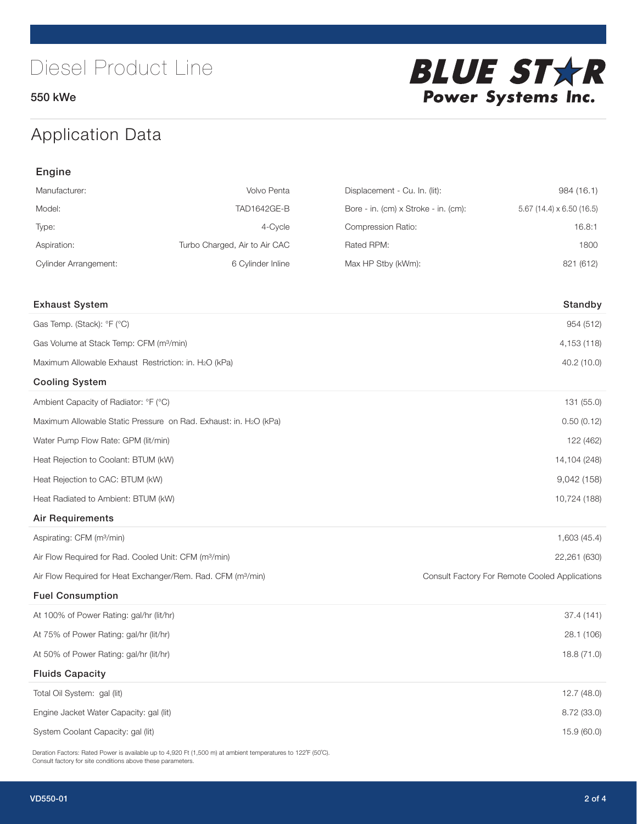550 kWe



# Application Data

| Engine                                                                   |                                                                  |                                      |                                                |
|--------------------------------------------------------------------------|------------------------------------------------------------------|--------------------------------------|------------------------------------------------|
| Manufacturer:                                                            | Volvo Penta                                                      | Displacement - Cu. In. (lit):        | 984 (16.1)                                     |
| Model:                                                                   | TAD1642GE-B                                                      | Bore - in. (cm) x Stroke - in. (cm): | 5.67 (14.4) x 6.50 (16.5)                      |
| Type:                                                                    | 4-Cycle                                                          | Compression Ratio:                   | 16.8:1                                         |
| Aspiration:                                                              | Turbo Charged, Air to Air CAC                                    | Rated RPM:                           | 1800                                           |
| <b>Cylinder Arrangement:</b>                                             | 6 Cylinder Inline                                                | Max HP Stby (kWm):                   | 821 (612)                                      |
| <b>Exhaust System</b>                                                    |                                                                  |                                      | Standby                                        |
| Gas Temp. (Stack): °F (°C)                                               |                                                                  |                                      | 954 (512)                                      |
| Gas Volume at Stack Temp: CFM (m <sup>3</sup> /min)                      |                                                                  |                                      | 4,153 (118)                                    |
| Maximum Allowable Exhaust Restriction: in. H2O (kPa)                     |                                                                  |                                      | 40.2 (10.0)                                    |
| <b>Cooling System</b>                                                    |                                                                  |                                      |                                                |
| Ambient Capacity of Radiator: °F (°C)                                    |                                                                  |                                      | 131 (55.0)                                     |
|                                                                          | Maximum Allowable Static Pressure on Rad. Exhaust: in. H2O (kPa) |                                      | 0.50(0.12)                                     |
| Water Pump Flow Rate: GPM (lit/min)                                      |                                                                  |                                      | 122 (462)                                      |
| Heat Rejection to Coolant: BTUM (kW)                                     |                                                                  |                                      | 14,104 (248)                                   |
| Heat Rejection to CAC: BTUM (kW)                                         |                                                                  |                                      | 9,042(158)                                     |
| Heat Radiated to Ambient: BTUM (kW)                                      |                                                                  |                                      | 10,724 (188)                                   |
| <b>Air Requirements</b>                                                  |                                                                  |                                      |                                                |
| Aspirating: CFM (m <sup>3</sup> /min)                                    |                                                                  |                                      | 1,603 (45.4)                                   |
| Air Flow Required for Rad. Cooled Unit: CFM (m <sup>3</sup> /min)        |                                                                  |                                      | 22,261 (630)                                   |
| Air Flow Required for Heat Exchanger/Rem. Rad. CFM (m <sup>3</sup> /min) |                                                                  |                                      | Consult Factory For Remote Cooled Applications |
| <b>Fuel Consumption</b>                                                  |                                                                  |                                      |                                                |
| At 100% of Power Rating: gal/hr (lit/hr)                                 |                                                                  |                                      | 37.4 (141)                                     |
| At 75% of Power Rating: gal/hr (lit/hr)                                  |                                                                  |                                      | 28.1 (106)                                     |
| At 50% of Power Rating: gal/hr (lit/hr)                                  |                                                                  |                                      | 18.8 (71.0)                                    |
| <b>Fluids Capacity</b>                                                   |                                                                  |                                      |                                                |
| Total Oil System: gal (lit)                                              |                                                                  |                                      | 12.7(48.0)                                     |
| Engine Jacket Water Capacity: gal (lit)                                  |                                                                  |                                      | 8.72 (33.0)                                    |
| System Coolant Capacity: gal (lit)                                       |                                                                  |                                      | 15.9 (60.0)                                    |

Deration Factors: Rated Power is available up to 4,920 Ft (1,500 m) at ambient temperatures to 122°F (50°C). Consult factory for site conditions above these parameters.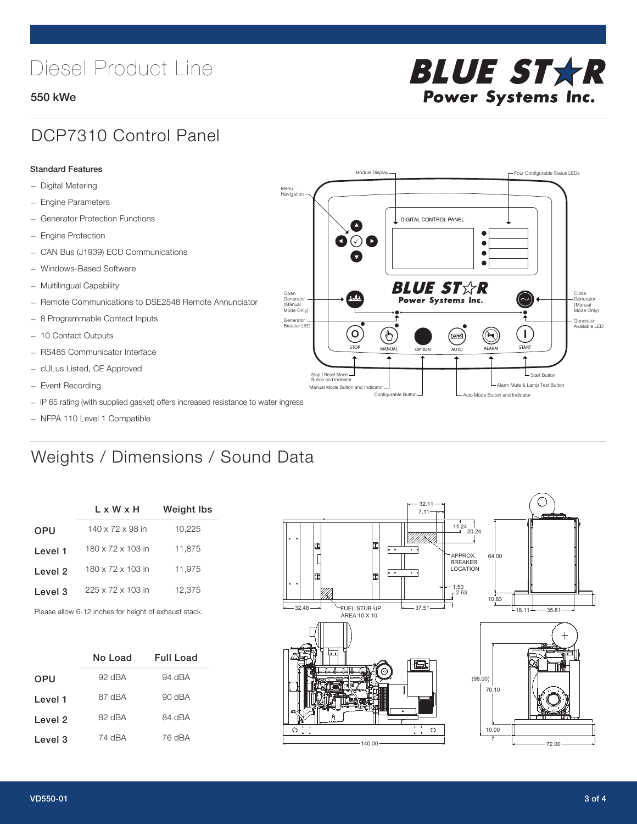# Diesel Product Line

### 550 kWe



## DCP7310 Control Panel

#### Standard Features

- Digital Metering
- Engine Parameters
- Generator Protection Functions
- Engine Protection
- CAN Bus (J1939) ECU Communications
- Windows-Based Software
- Multilingual Capability
- Remote Communications to DSE2548 Remote Annunciator
- 8 Programmable Contact Inputs
- 10 Contact Outputs
- RS485 Communicator Interface
- cULus Listed, CE Approved
- Event Recording
- IP 65 rating (with supplied gasket) offers increased resistance to water ingress
- NFPA 110 Level 1 Compatible

# Weights / Dimensions / Sound Data

|            | $L \times W \times H$        | <b>Weight Ibs</b> |  |  |
|------------|------------------------------|-------------------|--|--|
| <b>OPU</b> | $140 \times 72 \times 98$ in | 10,225            |  |  |
| Level 1    | 180 x 72 x 103 in            | 11,875            |  |  |
| Level 2    | 180 x 72 x 103 in            | 11,975            |  |  |
| Level 3    | 225 x 72 x 103 in            | 12.375            |  |  |
|            |                              |                   |  |  |

Please allow 6-12 inches for height of exhaust stack.

|         | No Load | <b>Full Load</b> |
|---------|---------|------------------|
| OPU     | 92 dBA  | 94 dBA           |
| Level 1 | 87 dBA  | 90 dBA           |
| Level 2 | 82 dBA  | 84 dBA           |
| Level 3 | 74 dBA  | 76 dBA           |



STOP MANUAL OPTION AUTO ALARM START

[AUTO]

**BLUE STAR** Power Systems Inc.

Manual Mode Button and Indicator United States and Indicator United States and Indicator United States and Indicator United States and Indicator United States and Indicator United States and Indicator United States and Ind Configurable Button -  $\Box$  Auto Mode Button and Indicator

DIGITAL CONTROL PANEL

Module Display  $\Box$ 

 $\bullet$  $\bullet$  $\bullet$ 

 $\circledcirc$ 

Menu Navigation

Open Generator (Manual Mode Only)

Generator Breaker LED

Stop / Reset Mode Button and Indicator

 $\bullet$  $\overline{\bullet}$ 

 $\sigma$ 

՟Պ

Close Generator (Manual Mode Only)

Generator Available LED

L Start Button

 $\blacksquare$